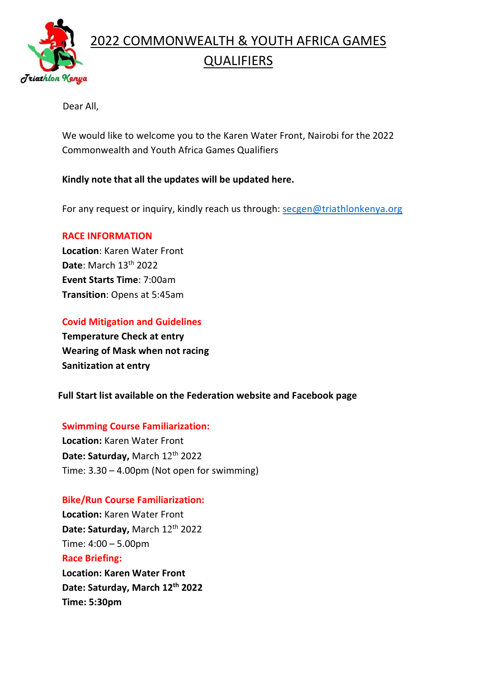

#### Dear All,

We would like to welcome you to the Karen Water Front, Nairobi for the 2022 Commonwealth and Youth Africa Games Qualifiers

#### Kindly note that all the updates will be updated here.

For any request or inquiry, kindly reach us through: secgen@triathlonkenya.org

#### RACE INFORMATION

Location: Karen Water Front Date: March 13<sup>th</sup> 2022 Event Starts Time: 7:00am Transition: Opens at 5:45am

### Covid Mitigation and Guidelines

Temperature Check at entry Wearing of Mask when not racing Sanitization at entry

#### Full Start list available on the Federation website and Facebook page

#### Swimming Course Familiarization:

Location: Karen Water Front Date: Saturday, March 12<sup>th</sup> 2022 Time: 3.30 – 4.00pm (Not open for swimming)

#### Bike/Run Course Familiarization:

Date: Saturday, March 12<sup>th</sup> 2022 Time: 5:30pm Location: Karen Water Front Date: Saturday, March 12<sup>th</sup> 2022 Time: 4:00 – 5.00pm Race Briefing: Location: Karen Water Front